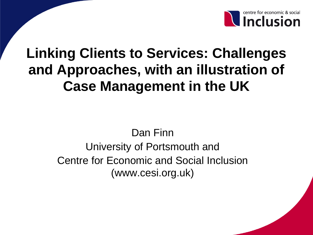

# **Linking Clients to Services: Challenges and Approaches, with an illustration of Case Management in the UK**

Dan Finn University of Portsmouth and Centre for Economic and Social Inclusion (www.cesi.org.uk)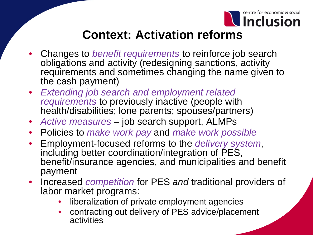

### **Context: Activation reforms**

- Changes to *benefit requirements* to reinforce job search obligations and activity (redesigning sanctions, activity requirements and sometimes changing the name given to the cash payment)
- *Extending job search and employment related requirements* to previously inactive (people with health/disabilities; lone parents; spouses/partners)
- *Active measures*  job search support, ALMPs
- Policies to *make work pay* and *make work possible*
- Employment-focused reforms to the *delivery system*, including better coordination/integration of PES, benefit/insurance agencies, and municipalities and benefit payment
- Increased *competition* for PES *and* traditional providers of labor market programs:
	- liberalization of private employment agencies
	- contracting out delivery of PES advice/placement activities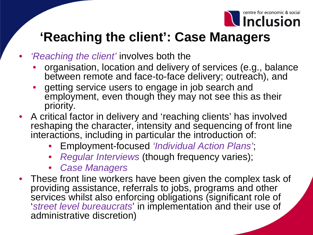

### **'Reaching the client': Case Managers**

- *'Reaching the client'* involves both the
	- organisation, location and delivery of services (e.g., balance between remote and face-to-face delivery; outreach), and
	- getting service users to engage in job search and employment, even though they may not see this as their priority.
- A critical factor in delivery and 'reaching clients' has involved reshaping the character, intensity and sequencing of front line interactions, including in particular the introduction of:
	- Employment-focused *'Individual Action Plans'*;
	- *Regular Interviews* (though frequency varies);
	- *Case Managers*
- These front line workers have been given the complex task of providing assistance, referrals to jobs, programs and other services whilst also enforcing obligations (significant role of '*street level bureaucrats*' in implementation and their use of administrative discretion)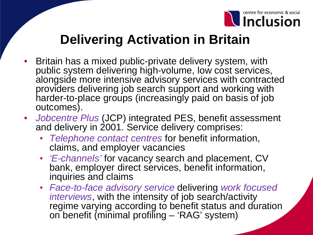

### **Delivering Activation in Britain**

- Britain has a mixed public-private delivery system, with public system delivering high-volume, low cost services, alongside more intensive advisory services with contracted providers delivering job search support and working with harder-to-place groups (increasingly paid on basis of job outcomes).
- *Jobcentre Plus* (JCP) integrated PES, benefit assessment and delivery in 2001. Service delivery comprises:
	- *Telephone contact centres* for benefit information, claims, and employer vacancies
	- *'E-channels'* for vacancy search and placement, CV bank, employer direct services, benefit information, inquiries and claims
	- *Face-to-face advisory service* delivering *work focused interviews*, with the intensity of job search/activity regime varying according to benefit status and duration on benefit (minimal profiling – 'RAG' system)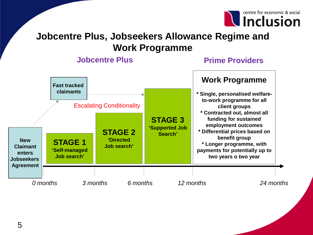

### **Jobcentre Plus, Jobseekers Allowance Regime and Work Programme**

### **Jobcentre Plus Prime Providers**

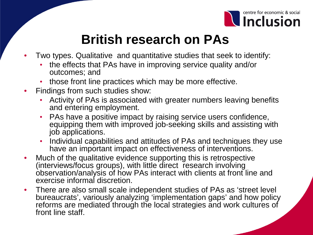

## **British research on PAs**

- Two types. Qualitative and quantitative studies that seek to identify:
	- the effects that PAs have in improving service quality and/or outcomes; and
	- those front line practices which may be more effective.
- Findings from such studies show:
	- Activity of PAs is associated with greater numbers leaving benefits and entering employment.
	- PAs have a positive impact by raising service users confidence, equipping them with improved job-seeking skills and assisting with job applications.
	- Individual capabilities and attitudes of PAs and techniques they use have an important impact on effectiveness of interventions.
- Much of the qualitative evidence supporting this is retrospective (interviews/focus groups), with little direct research involving observation/analysis of how PAs interact with clients at front line and exercise informal discretion.
- There are also small scale independent studies of PAs as 'street level bureaucrats', variously analyzing 'implementation gaps' and how policy reforms are mediated through the local strategies and work cultures of front line staff.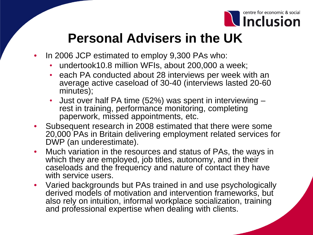

### **Personal Advisers in the UK**

- In 2006 JCP estimated to employ 9,300 PAs who:
	- undertook10.8 million WFIs, about 200,000 a week;
	- each PA conducted about 28 interviews per week with an average active caseload of 30-40 (interviews lasted 20-60 minutes);
	- Just over half PA time (52%) was spent in interviewing rest in training, performance monitoring, completing paperwork, missed appointments, etc.
- Subsequent research in 2008 estimated that there were some 20,000 PAs in Britain delivering employment related services for DWP (an underestimate).
- Much variation in the resources and status of PAs, the ways in which they are employed, job titles, autonomy, and in their caseloads and the frequency and nature of contact they have with service users.
- Varied backgrounds but PAs trained in and use psychologically derived models of motivation and intervention frameworks, but also rely on intuition, informal workplace socialization, training and professional expertise when dealing with clients.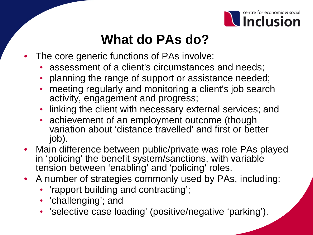

## **What do PAs do?**

- The core generic functions of PAs involve:
	- assessment of a client's circumstances and needs;
	- planning the range of support or assistance needed;
	- meeting regularly and monitoring a client's job search activity, engagement and progress;
	- linking the client with necessary external services; and
	- achievement of an employment outcome (though variation about 'distance travelled' and first or better job).
- Main difference between public/private was role PAs played in 'policing' the benefit system/sanctions, with variable tension between 'enabling' and 'policing' roles.
- A number of strategies commonly used by PAs, including:
	- 'rapport building and contracting';
	- 'challenging'; and
	- 'selective case loading' (positive/negative 'parking').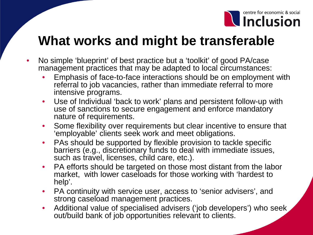

### **What works and might be transferable**

- No simple 'blueprint' of best practice but a 'toolkit' of good PA/case management practices that may be adapted to local circumstances:
	- Emphasis of face-to-face interactions should be on employment with referral to job vacancies, rather than immediate referral to more intensive programs.
	- Use of Individual 'back to work' plans and persistent follow-up with use of sanctions to secure engagement and enforce mandatory nature of requirements.
	- Some flexibility over requirements but clear incentive to ensure that 'employable' clients seek work and meet obligations.
	- PAs should be supported by flexible provision to tackle specific barriers (e.g., discretionary funds to deal with immediate issues, such as travel, licenses, child care, etc.).
	- PA efforts should be targeted on those most distant from the labor market, with lower caseloads for those working with 'hardest to help'.
	- PA continuity with service user, access to 'senior advisers', and strong caseload management practices.
	- Additional value of specialised advisers ('job developers') who seek out/build bank of job opportunities relevant to clients.